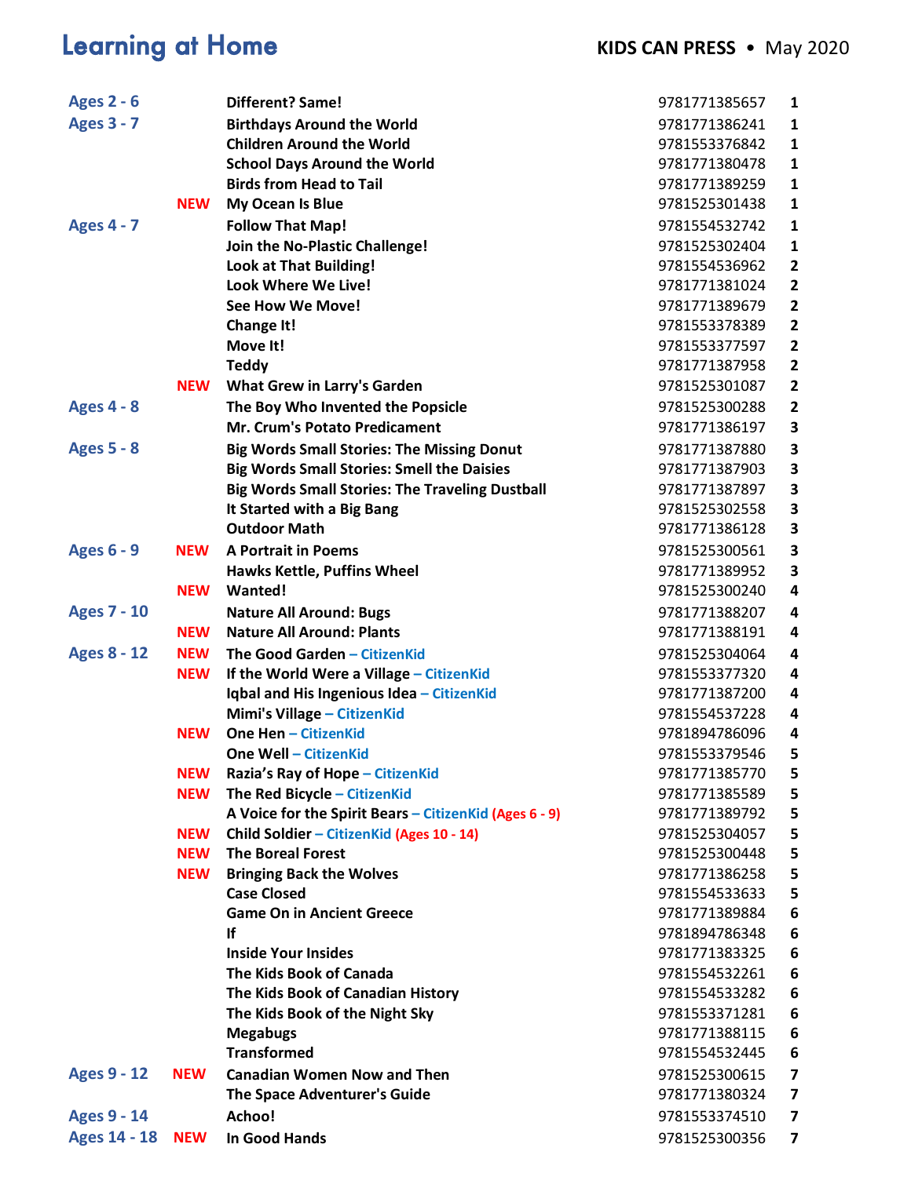# **Learning at Home <b>KIDS CAN PRESS** • May 2020

| <b>Birthdays Around the World</b><br>9781771386241<br>1<br><b>Children Around the World</b><br>9781553376842<br>$\mathbf{1}$<br><b>School Days Around the World</b><br>9781771380478<br>1<br><b>Birds from Head to Tail</b><br>9781771389259<br>$\mathbf{1}$<br><b>NEW</b><br>My Ocean Is Blue<br>9781525301438<br>1<br><b>Follow That Map!</b><br>9781554532742<br>1<br>Join the No-Plastic Challenge!<br>9781525302404<br>1<br><b>Look at That Building!</b><br>9781554536962<br>$\overline{2}$<br><b>Look Where We Live!</b><br>$\overline{2}$<br>9781771381024<br>$\overline{\mathbf{c}}$<br>See How We Move!<br>9781771389679<br>$\overline{\mathbf{2}}$<br>Change It!<br>9781553378389<br>Move It!<br>$\overline{2}$<br>9781553377597<br><b>Teddy</b><br>9781771387958<br>$\overline{2}$<br><b>NEW</b><br><b>What Grew in Larry's Garden</b><br>9781525301087<br>$\overline{2}$<br>The Boy Who Invented the Popsicle<br>9781525300288<br>$\mathbf{2}$<br>Mr. Crum's Potato Predicament<br>9781771386197<br>3<br><b>Big Words Small Stories: The Missing Donut</b><br>9781771387880<br>3<br>3<br><b>Big Words Small Stories: Smell the Daisies</b><br>9781771387903<br><b>Big Words Small Stories: The Traveling Dustball</b><br>9781771387897<br>3<br>3<br>It Started with a Big Bang<br>9781525302558<br><b>Outdoor Math</b><br>3<br>9781771386128<br><b>Ages 6 - 9</b><br><b>A Portrait in Poems</b><br><b>NEW</b><br>9781525300561<br>3<br>Hawks Kettle, Puffins Wheel<br>3<br>9781771389952<br>4<br><b>NEW</b><br>Wanted!<br>9781525300240<br><b>Ages 7 - 10</b><br><b>Nature All Around: Bugs</b><br>9781771388207<br>4<br><b>Nature All Around: Plants</b><br><b>NEW</b><br>9781771388191<br>4<br><b>Ages 8 - 12</b><br><b>NEW</b><br>The Good Garden - CitizenKid<br>9781525304064<br>4<br>If the World Were a Village - CitizenKid<br>9781553377320<br>4<br><b>NEW</b><br>Iqbal and His Ingenious Idea - CitizenKid<br>9781771387200<br>4<br><b>Mimi's Village - CitizenKid</b><br>9781554537228<br>4<br><b>One Hen - CitizenKid</b><br><b>NEW</b><br>4<br>9781894786096<br>5<br><b>One Well - CitizenKid</b><br>9781553379546<br><b>NEW</b><br>Razia's Ray of Hope - CitizenKid<br>9781771385770<br>5<br>The Red Bicycle - CitizenKid<br><b>NEW</b><br>9781771385589<br>5<br>A Voice for the Spirit Bears - CitizenKid (Ages 6 - 9)<br>5<br>9781771389792<br>Child Soldier - CitizenKid (Ages 10 - 14)<br>5<br><b>NEW</b><br>9781525304057<br><b>The Boreal Forest</b><br>5<br><b>NEW</b><br>9781525300448<br><b>Bringing Back the Wolves</b><br>9781771386258<br>5<br><b>NEW</b><br><b>Case Closed</b><br>9781554533633<br>5<br><b>Game On in Ancient Greece</b><br>6<br>9781771389884<br>If<br>9781894786348<br>6<br><b>Inside Your Insides</b><br>9781771383325<br>6<br>The Kids Book of Canada<br>6<br>9781554532261<br>The Kids Book of Canadian History<br>9781554533282<br>6<br>The Kids Book of the Night Sky<br>9781553371281<br>6<br><b>Megabugs</b><br>9781771388115<br>6<br><b>Transformed</b><br>9781554532445<br>6<br><b>NEW</b><br><b>Canadian Women Now and Then</b><br>9781525300615<br>7<br>The Space Adventurer's Guide<br>9781771380324<br>7<br>Achoo!<br>9781553374510<br>7<br><b>NEW</b><br><b>In Good Hands</b><br>9781525300356<br>$\overline{\mathbf{z}}$ | <b>Ages 2 - 6</b>   | Different? Same! | 9781771385657 | 1 |
|---------------------------------------------------------------------------------------------------------------------------------------------------------------------------------------------------------------------------------------------------------------------------------------------------------------------------------------------------------------------------------------------------------------------------------------------------------------------------------------------------------------------------------------------------------------------------------------------------------------------------------------------------------------------------------------------------------------------------------------------------------------------------------------------------------------------------------------------------------------------------------------------------------------------------------------------------------------------------------------------------------------------------------------------------------------------------------------------------------------------------------------------------------------------------------------------------------------------------------------------------------------------------------------------------------------------------------------------------------------------------------------------------------------------------------------------------------------------------------------------------------------------------------------------------------------------------------------------------------------------------------------------------------------------------------------------------------------------------------------------------------------------------------------------------------------------------------------------------------------------------------------------------------------------------------------------------------------------------------------------------------------------------------------------------------------------------------------------------------------------------------------------------------------------------------------------------------------------------------------------------------------------------------------------------------------------------------------------------------------------------------------------------------------------------------------------------------------------------------------------------------------------------------------------------------------------------------------------------------------------------------------------------------------------------------------------------------------------------------------------------------------------------------------------------------------------------------------------------------------------------------------------------------------------------------------------------------------------------------------------------------------------------------------------------------------------------------------------------------------------------------------------------------------------------------------------------------------------------------------------------------------------------------------------------|---------------------|------------------|---------------|---|
|                                                                                                                                                                                                                                                                                                                                                                                                                                                                                                                                                                                                                                                                                                                                                                                                                                                                                                                                                                                                                                                                                                                                                                                                                                                                                                                                                                                                                                                                                                                                                                                                                                                                                                                                                                                                                                                                                                                                                                                                                                                                                                                                                                                                                                                                                                                                                                                                                                                                                                                                                                                                                                                                                                                                                                                                                                                                                                                                                                                                                                                                                                                                                                                                                                                                                                   | <b>Ages 3 - 7</b>   |                  |               |   |
|                                                                                                                                                                                                                                                                                                                                                                                                                                                                                                                                                                                                                                                                                                                                                                                                                                                                                                                                                                                                                                                                                                                                                                                                                                                                                                                                                                                                                                                                                                                                                                                                                                                                                                                                                                                                                                                                                                                                                                                                                                                                                                                                                                                                                                                                                                                                                                                                                                                                                                                                                                                                                                                                                                                                                                                                                                                                                                                                                                                                                                                                                                                                                                                                                                                                                                   |                     |                  |               |   |
|                                                                                                                                                                                                                                                                                                                                                                                                                                                                                                                                                                                                                                                                                                                                                                                                                                                                                                                                                                                                                                                                                                                                                                                                                                                                                                                                                                                                                                                                                                                                                                                                                                                                                                                                                                                                                                                                                                                                                                                                                                                                                                                                                                                                                                                                                                                                                                                                                                                                                                                                                                                                                                                                                                                                                                                                                                                                                                                                                                                                                                                                                                                                                                                                                                                                                                   |                     |                  |               |   |
|                                                                                                                                                                                                                                                                                                                                                                                                                                                                                                                                                                                                                                                                                                                                                                                                                                                                                                                                                                                                                                                                                                                                                                                                                                                                                                                                                                                                                                                                                                                                                                                                                                                                                                                                                                                                                                                                                                                                                                                                                                                                                                                                                                                                                                                                                                                                                                                                                                                                                                                                                                                                                                                                                                                                                                                                                                                                                                                                                                                                                                                                                                                                                                                                                                                                                                   |                     |                  |               |   |
|                                                                                                                                                                                                                                                                                                                                                                                                                                                                                                                                                                                                                                                                                                                                                                                                                                                                                                                                                                                                                                                                                                                                                                                                                                                                                                                                                                                                                                                                                                                                                                                                                                                                                                                                                                                                                                                                                                                                                                                                                                                                                                                                                                                                                                                                                                                                                                                                                                                                                                                                                                                                                                                                                                                                                                                                                                                                                                                                                                                                                                                                                                                                                                                                                                                                                                   |                     |                  |               |   |
|                                                                                                                                                                                                                                                                                                                                                                                                                                                                                                                                                                                                                                                                                                                                                                                                                                                                                                                                                                                                                                                                                                                                                                                                                                                                                                                                                                                                                                                                                                                                                                                                                                                                                                                                                                                                                                                                                                                                                                                                                                                                                                                                                                                                                                                                                                                                                                                                                                                                                                                                                                                                                                                                                                                                                                                                                                                                                                                                                                                                                                                                                                                                                                                                                                                                                                   | <b>Ages 4 - 7</b>   |                  |               |   |
|                                                                                                                                                                                                                                                                                                                                                                                                                                                                                                                                                                                                                                                                                                                                                                                                                                                                                                                                                                                                                                                                                                                                                                                                                                                                                                                                                                                                                                                                                                                                                                                                                                                                                                                                                                                                                                                                                                                                                                                                                                                                                                                                                                                                                                                                                                                                                                                                                                                                                                                                                                                                                                                                                                                                                                                                                                                                                                                                                                                                                                                                                                                                                                                                                                                                                                   |                     |                  |               |   |
|                                                                                                                                                                                                                                                                                                                                                                                                                                                                                                                                                                                                                                                                                                                                                                                                                                                                                                                                                                                                                                                                                                                                                                                                                                                                                                                                                                                                                                                                                                                                                                                                                                                                                                                                                                                                                                                                                                                                                                                                                                                                                                                                                                                                                                                                                                                                                                                                                                                                                                                                                                                                                                                                                                                                                                                                                                                                                                                                                                                                                                                                                                                                                                                                                                                                                                   |                     |                  |               |   |
|                                                                                                                                                                                                                                                                                                                                                                                                                                                                                                                                                                                                                                                                                                                                                                                                                                                                                                                                                                                                                                                                                                                                                                                                                                                                                                                                                                                                                                                                                                                                                                                                                                                                                                                                                                                                                                                                                                                                                                                                                                                                                                                                                                                                                                                                                                                                                                                                                                                                                                                                                                                                                                                                                                                                                                                                                                                                                                                                                                                                                                                                                                                                                                                                                                                                                                   |                     |                  |               |   |
|                                                                                                                                                                                                                                                                                                                                                                                                                                                                                                                                                                                                                                                                                                                                                                                                                                                                                                                                                                                                                                                                                                                                                                                                                                                                                                                                                                                                                                                                                                                                                                                                                                                                                                                                                                                                                                                                                                                                                                                                                                                                                                                                                                                                                                                                                                                                                                                                                                                                                                                                                                                                                                                                                                                                                                                                                                                                                                                                                                                                                                                                                                                                                                                                                                                                                                   |                     |                  |               |   |
|                                                                                                                                                                                                                                                                                                                                                                                                                                                                                                                                                                                                                                                                                                                                                                                                                                                                                                                                                                                                                                                                                                                                                                                                                                                                                                                                                                                                                                                                                                                                                                                                                                                                                                                                                                                                                                                                                                                                                                                                                                                                                                                                                                                                                                                                                                                                                                                                                                                                                                                                                                                                                                                                                                                                                                                                                                                                                                                                                                                                                                                                                                                                                                                                                                                                                                   |                     |                  |               |   |
|                                                                                                                                                                                                                                                                                                                                                                                                                                                                                                                                                                                                                                                                                                                                                                                                                                                                                                                                                                                                                                                                                                                                                                                                                                                                                                                                                                                                                                                                                                                                                                                                                                                                                                                                                                                                                                                                                                                                                                                                                                                                                                                                                                                                                                                                                                                                                                                                                                                                                                                                                                                                                                                                                                                                                                                                                                                                                                                                                                                                                                                                                                                                                                                                                                                                                                   |                     |                  |               |   |
|                                                                                                                                                                                                                                                                                                                                                                                                                                                                                                                                                                                                                                                                                                                                                                                                                                                                                                                                                                                                                                                                                                                                                                                                                                                                                                                                                                                                                                                                                                                                                                                                                                                                                                                                                                                                                                                                                                                                                                                                                                                                                                                                                                                                                                                                                                                                                                                                                                                                                                                                                                                                                                                                                                                                                                                                                                                                                                                                                                                                                                                                                                                                                                                                                                                                                                   |                     |                  |               |   |
|                                                                                                                                                                                                                                                                                                                                                                                                                                                                                                                                                                                                                                                                                                                                                                                                                                                                                                                                                                                                                                                                                                                                                                                                                                                                                                                                                                                                                                                                                                                                                                                                                                                                                                                                                                                                                                                                                                                                                                                                                                                                                                                                                                                                                                                                                                                                                                                                                                                                                                                                                                                                                                                                                                                                                                                                                                                                                                                                                                                                                                                                                                                                                                                                                                                                                                   |                     |                  |               |   |
|                                                                                                                                                                                                                                                                                                                                                                                                                                                                                                                                                                                                                                                                                                                                                                                                                                                                                                                                                                                                                                                                                                                                                                                                                                                                                                                                                                                                                                                                                                                                                                                                                                                                                                                                                                                                                                                                                                                                                                                                                                                                                                                                                                                                                                                                                                                                                                                                                                                                                                                                                                                                                                                                                                                                                                                                                                                                                                                                                                                                                                                                                                                                                                                                                                                                                                   | <b>Ages 4 - 8</b>   |                  |               |   |
|                                                                                                                                                                                                                                                                                                                                                                                                                                                                                                                                                                                                                                                                                                                                                                                                                                                                                                                                                                                                                                                                                                                                                                                                                                                                                                                                                                                                                                                                                                                                                                                                                                                                                                                                                                                                                                                                                                                                                                                                                                                                                                                                                                                                                                                                                                                                                                                                                                                                                                                                                                                                                                                                                                                                                                                                                                                                                                                                                                                                                                                                                                                                                                                                                                                                                                   |                     |                  |               |   |
|                                                                                                                                                                                                                                                                                                                                                                                                                                                                                                                                                                                                                                                                                                                                                                                                                                                                                                                                                                                                                                                                                                                                                                                                                                                                                                                                                                                                                                                                                                                                                                                                                                                                                                                                                                                                                                                                                                                                                                                                                                                                                                                                                                                                                                                                                                                                                                                                                                                                                                                                                                                                                                                                                                                                                                                                                                                                                                                                                                                                                                                                                                                                                                                                                                                                                                   | <b>Ages 5 - 8</b>   |                  |               |   |
|                                                                                                                                                                                                                                                                                                                                                                                                                                                                                                                                                                                                                                                                                                                                                                                                                                                                                                                                                                                                                                                                                                                                                                                                                                                                                                                                                                                                                                                                                                                                                                                                                                                                                                                                                                                                                                                                                                                                                                                                                                                                                                                                                                                                                                                                                                                                                                                                                                                                                                                                                                                                                                                                                                                                                                                                                                                                                                                                                                                                                                                                                                                                                                                                                                                                                                   |                     |                  |               |   |
|                                                                                                                                                                                                                                                                                                                                                                                                                                                                                                                                                                                                                                                                                                                                                                                                                                                                                                                                                                                                                                                                                                                                                                                                                                                                                                                                                                                                                                                                                                                                                                                                                                                                                                                                                                                                                                                                                                                                                                                                                                                                                                                                                                                                                                                                                                                                                                                                                                                                                                                                                                                                                                                                                                                                                                                                                                                                                                                                                                                                                                                                                                                                                                                                                                                                                                   |                     |                  |               |   |
|                                                                                                                                                                                                                                                                                                                                                                                                                                                                                                                                                                                                                                                                                                                                                                                                                                                                                                                                                                                                                                                                                                                                                                                                                                                                                                                                                                                                                                                                                                                                                                                                                                                                                                                                                                                                                                                                                                                                                                                                                                                                                                                                                                                                                                                                                                                                                                                                                                                                                                                                                                                                                                                                                                                                                                                                                                                                                                                                                                                                                                                                                                                                                                                                                                                                                                   |                     |                  |               |   |
|                                                                                                                                                                                                                                                                                                                                                                                                                                                                                                                                                                                                                                                                                                                                                                                                                                                                                                                                                                                                                                                                                                                                                                                                                                                                                                                                                                                                                                                                                                                                                                                                                                                                                                                                                                                                                                                                                                                                                                                                                                                                                                                                                                                                                                                                                                                                                                                                                                                                                                                                                                                                                                                                                                                                                                                                                                                                                                                                                                                                                                                                                                                                                                                                                                                                                                   |                     |                  |               |   |
|                                                                                                                                                                                                                                                                                                                                                                                                                                                                                                                                                                                                                                                                                                                                                                                                                                                                                                                                                                                                                                                                                                                                                                                                                                                                                                                                                                                                                                                                                                                                                                                                                                                                                                                                                                                                                                                                                                                                                                                                                                                                                                                                                                                                                                                                                                                                                                                                                                                                                                                                                                                                                                                                                                                                                                                                                                                                                                                                                                                                                                                                                                                                                                                                                                                                                                   |                     |                  |               |   |
|                                                                                                                                                                                                                                                                                                                                                                                                                                                                                                                                                                                                                                                                                                                                                                                                                                                                                                                                                                                                                                                                                                                                                                                                                                                                                                                                                                                                                                                                                                                                                                                                                                                                                                                                                                                                                                                                                                                                                                                                                                                                                                                                                                                                                                                                                                                                                                                                                                                                                                                                                                                                                                                                                                                                                                                                                                                                                                                                                                                                                                                                                                                                                                                                                                                                                                   |                     |                  |               |   |
|                                                                                                                                                                                                                                                                                                                                                                                                                                                                                                                                                                                                                                                                                                                                                                                                                                                                                                                                                                                                                                                                                                                                                                                                                                                                                                                                                                                                                                                                                                                                                                                                                                                                                                                                                                                                                                                                                                                                                                                                                                                                                                                                                                                                                                                                                                                                                                                                                                                                                                                                                                                                                                                                                                                                                                                                                                                                                                                                                                                                                                                                                                                                                                                                                                                                                                   |                     |                  |               |   |
|                                                                                                                                                                                                                                                                                                                                                                                                                                                                                                                                                                                                                                                                                                                                                                                                                                                                                                                                                                                                                                                                                                                                                                                                                                                                                                                                                                                                                                                                                                                                                                                                                                                                                                                                                                                                                                                                                                                                                                                                                                                                                                                                                                                                                                                                                                                                                                                                                                                                                                                                                                                                                                                                                                                                                                                                                                                                                                                                                                                                                                                                                                                                                                                                                                                                                                   |                     |                  |               |   |
|                                                                                                                                                                                                                                                                                                                                                                                                                                                                                                                                                                                                                                                                                                                                                                                                                                                                                                                                                                                                                                                                                                                                                                                                                                                                                                                                                                                                                                                                                                                                                                                                                                                                                                                                                                                                                                                                                                                                                                                                                                                                                                                                                                                                                                                                                                                                                                                                                                                                                                                                                                                                                                                                                                                                                                                                                                                                                                                                                                                                                                                                                                                                                                                                                                                                                                   |                     |                  |               |   |
|                                                                                                                                                                                                                                                                                                                                                                                                                                                                                                                                                                                                                                                                                                                                                                                                                                                                                                                                                                                                                                                                                                                                                                                                                                                                                                                                                                                                                                                                                                                                                                                                                                                                                                                                                                                                                                                                                                                                                                                                                                                                                                                                                                                                                                                                                                                                                                                                                                                                                                                                                                                                                                                                                                                                                                                                                                                                                                                                                                                                                                                                                                                                                                                                                                                                                                   |                     |                  |               |   |
|                                                                                                                                                                                                                                                                                                                                                                                                                                                                                                                                                                                                                                                                                                                                                                                                                                                                                                                                                                                                                                                                                                                                                                                                                                                                                                                                                                                                                                                                                                                                                                                                                                                                                                                                                                                                                                                                                                                                                                                                                                                                                                                                                                                                                                                                                                                                                                                                                                                                                                                                                                                                                                                                                                                                                                                                                                                                                                                                                                                                                                                                                                                                                                                                                                                                                                   |                     |                  |               |   |
|                                                                                                                                                                                                                                                                                                                                                                                                                                                                                                                                                                                                                                                                                                                                                                                                                                                                                                                                                                                                                                                                                                                                                                                                                                                                                                                                                                                                                                                                                                                                                                                                                                                                                                                                                                                                                                                                                                                                                                                                                                                                                                                                                                                                                                                                                                                                                                                                                                                                                                                                                                                                                                                                                                                                                                                                                                                                                                                                                                                                                                                                                                                                                                                                                                                                                                   |                     |                  |               |   |
|                                                                                                                                                                                                                                                                                                                                                                                                                                                                                                                                                                                                                                                                                                                                                                                                                                                                                                                                                                                                                                                                                                                                                                                                                                                                                                                                                                                                                                                                                                                                                                                                                                                                                                                                                                                                                                                                                                                                                                                                                                                                                                                                                                                                                                                                                                                                                                                                                                                                                                                                                                                                                                                                                                                                                                                                                                                                                                                                                                                                                                                                                                                                                                                                                                                                                                   |                     |                  |               |   |
|                                                                                                                                                                                                                                                                                                                                                                                                                                                                                                                                                                                                                                                                                                                                                                                                                                                                                                                                                                                                                                                                                                                                                                                                                                                                                                                                                                                                                                                                                                                                                                                                                                                                                                                                                                                                                                                                                                                                                                                                                                                                                                                                                                                                                                                                                                                                                                                                                                                                                                                                                                                                                                                                                                                                                                                                                                                                                                                                                                                                                                                                                                                                                                                                                                                                                                   |                     |                  |               |   |
|                                                                                                                                                                                                                                                                                                                                                                                                                                                                                                                                                                                                                                                                                                                                                                                                                                                                                                                                                                                                                                                                                                                                                                                                                                                                                                                                                                                                                                                                                                                                                                                                                                                                                                                                                                                                                                                                                                                                                                                                                                                                                                                                                                                                                                                                                                                                                                                                                                                                                                                                                                                                                                                                                                                                                                                                                                                                                                                                                                                                                                                                                                                                                                                                                                                                                                   |                     |                  |               |   |
|                                                                                                                                                                                                                                                                                                                                                                                                                                                                                                                                                                                                                                                                                                                                                                                                                                                                                                                                                                                                                                                                                                                                                                                                                                                                                                                                                                                                                                                                                                                                                                                                                                                                                                                                                                                                                                                                                                                                                                                                                                                                                                                                                                                                                                                                                                                                                                                                                                                                                                                                                                                                                                                                                                                                                                                                                                                                                                                                                                                                                                                                                                                                                                                                                                                                                                   |                     |                  |               |   |
|                                                                                                                                                                                                                                                                                                                                                                                                                                                                                                                                                                                                                                                                                                                                                                                                                                                                                                                                                                                                                                                                                                                                                                                                                                                                                                                                                                                                                                                                                                                                                                                                                                                                                                                                                                                                                                                                                                                                                                                                                                                                                                                                                                                                                                                                                                                                                                                                                                                                                                                                                                                                                                                                                                                                                                                                                                                                                                                                                                                                                                                                                                                                                                                                                                                                                                   |                     |                  |               |   |
|                                                                                                                                                                                                                                                                                                                                                                                                                                                                                                                                                                                                                                                                                                                                                                                                                                                                                                                                                                                                                                                                                                                                                                                                                                                                                                                                                                                                                                                                                                                                                                                                                                                                                                                                                                                                                                                                                                                                                                                                                                                                                                                                                                                                                                                                                                                                                                                                                                                                                                                                                                                                                                                                                                                                                                                                                                                                                                                                                                                                                                                                                                                                                                                                                                                                                                   |                     |                  |               |   |
|                                                                                                                                                                                                                                                                                                                                                                                                                                                                                                                                                                                                                                                                                                                                                                                                                                                                                                                                                                                                                                                                                                                                                                                                                                                                                                                                                                                                                                                                                                                                                                                                                                                                                                                                                                                                                                                                                                                                                                                                                                                                                                                                                                                                                                                                                                                                                                                                                                                                                                                                                                                                                                                                                                                                                                                                                                                                                                                                                                                                                                                                                                                                                                                                                                                                                                   |                     |                  |               |   |
|                                                                                                                                                                                                                                                                                                                                                                                                                                                                                                                                                                                                                                                                                                                                                                                                                                                                                                                                                                                                                                                                                                                                                                                                                                                                                                                                                                                                                                                                                                                                                                                                                                                                                                                                                                                                                                                                                                                                                                                                                                                                                                                                                                                                                                                                                                                                                                                                                                                                                                                                                                                                                                                                                                                                                                                                                                                                                                                                                                                                                                                                                                                                                                                                                                                                                                   |                     |                  |               |   |
|                                                                                                                                                                                                                                                                                                                                                                                                                                                                                                                                                                                                                                                                                                                                                                                                                                                                                                                                                                                                                                                                                                                                                                                                                                                                                                                                                                                                                                                                                                                                                                                                                                                                                                                                                                                                                                                                                                                                                                                                                                                                                                                                                                                                                                                                                                                                                                                                                                                                                                                                                                                                                                                                                                                                                                                                                                                                                                                                                                                                                                                                                                                                                                                                                                                                                                   |                     |                  |               |   |
|                                                                                                                                                                                                                                                                                                                                                                                                                                                                                                                                                                                                                                                                                                                                                                                                                                                                                                                                                                                                                                                                                                                                                                                                                                                                                                                                                                                                                                                                                                                                                                                                                                                                                                                                                                                                                                                                                                                                                                                                                                                                                                                                                                                                                                                                                                                                                                                                                                                                                                                                                                                                                                                                                                                                                                                                                                                                                                                                                                                                                                                                                                                                                                                                                                                                                                   |                     |                  |               |   |
|                                                                                                                                                                                                                                                                                                                                                                                                                                                                                                                                                                                                                                                                                                                                                                                                                                                                                                                                                                                                                                                                                                                                                                                                                                                                                                                                                                                                                                                                                                                                                                                                                                                                                                                                                                                                                                                                                                                                                                                                                                                                                                                                                                                                                                                                                                                                                                                                                                                                                                                                                                                                                                                                                                                                                                                                                                                                                                                                                                                                                                                                                                                                                                                                                                                                                                   |                     |                  |               |   |
|                                                                                                                                                                                                                                                                                                                                                                                                                                                                                                                                                                                                                                                                                                                                                                                                                                                                                                                                                                                                                                                                                                                                                                                                                                                                                                                                                                                                                                                                                                                                                                                                                                                                                                                                                                                                                                                                                                                                                                                                                                                                                                                                                                                                                                                                                                                                                                                                                                                                                                                                                                                                                                                                                                                                                                                                                                                                                                                                                                                                                                                                                                                                                                                                                                                                                                   |                     |                  |               |   |
|                                                                                                                                                                                                                                                                                                                                                                                                                                                                                                                                                                                                                                                                                                                                                                                                                                                                                                                                                                                                                                                                                                                                                                                                                                                                                                                                                                                                                                                                                                                                                                                                                                                                                                                                                                                                                                                                                                                                                                                                                                                                                                                                                                                                                                                                                                                                                                                                                                                                                                                                                                                                                                                                                                                                                                                                                                                                                                                                                                                                                                                                                                                                                                                                                                                                                                   |                     |                  |               |   |
|                                                                                                                                                                                                                                                                                                                                                                                                                                                                                                                                                                                                                                                                                                                                                                                                                                                                                                                                                                                                                                                                                                                                                                                                                                                                                                                                                                                                                                                                                                                                                                                                                                                                                                                                                                                                                                                                                                                                                                                                                                                                                                                                                                                                                                                                                                                                                                                                                                                                                                                                                                                                                                                                                                                                                                                                                                                                                                                                                                                                                                                                                                                                                                                                                                                                                                   |                     |                  |               |   |
|                                                                                                                                                                                                                                                                                                                                                                                                                                                                                                                                                                                                                                                                                                                                                                                                                                                                                                                                                                                                                                                                                                                                                                                                                                                                                                                                                                                                                                                                                                                                                                                                                                                                                                                                                                                                                                                                                                                                                                                                                                                                                                                                                                                                                                                                                                                                                                                                                                                                                                                                                                                                                                                                                                                                                                                                                                                                                                                                                                                                                                                                                                                                                                                                                                                                                                   |                     |                  |               |   |
|                                                                                                                                                                                                                                                                                                                                                                                                                                                                                                                                                                                                                                                                                                                                                                                                                                                                                                                                                                                                                                                                                                                                                                                                                                                                                                                                                                                                                                                                                                                                                                                                                                                                                                                                                                                                                                                                                                                                                                                                                                                                                                                                                                                                                                                                                                                                                                                                                                                                                                                                                                                                                                                                                                                                                                                                                                                                                                                                                                                                                                                                                                                                                                                                                                                                                                   |                     |                  |               |   |
|                                                                                                                                                                                                                                                                                                                                                                                                                                                                                                                                                                                                                                                                                                                                                                                                                                                                                                                                                                                                                                                                                                                                                                                                                                                                                                                                                                                                                                                                                                                                                                                                                                                                                                                                                                                                                                                                                                                                                                                                                                                                                                                                                                                                                                                                                                                                                                                                                                                                                                                                                                                                                                                                                                                                                                                                                                                                                                                                                                                                                                                                                                                                                                                                                                                                                                   |                     |                  |               |   |
|                                                                                                                                                                                                                                                                                                                                                                                                                                                                                                                                                                                                                                                                                                                                                                                                                                                                                                                                                                                                                                                                                                                                                                                                                                                                                                                                                                                                                                                                                                                                                                                                                                                                                                                                                                                                                                                                                                                                                                                                                                                                                                                                                                                                                                                                                                                                                                                                                                                                                                                                                                                                                                                                                                                                                                                                                                                                                                                                                                                                                                                                                                                                                                                                                                                                                                   | <b>Ages 9 - 12</b>  |                  |               |   |
|                                                                                                                                                                                                                                                                                                                                                                                                                                                                                                                                                                                                                                                                                                                                                                                                                                                                                                                                                                                                                                                                                                                                                                                                                                                                                                                                                                                                                                                                                                                                                                                                                                                                                                                                                                                                                                                                                                                                                                                                                                                                                                                                                                                                                                                                                                                                                                                                                                                                                                                                                                                                                                                                                                                                                                                                                                                                                                                                                                                                                                                                                                                                                                                                                                                                                                   |                     |                  |               |   |
|                                                                                                                                                                                                                                                                                                                                                                                                                                                                                                                                                                                                                                                                                                                                                                                                                                                                                                                                                                                                                                                                                                                                                                                                                                                                                                                                                                                                                                                                                                                                                                                                                                                                                                                                                                                                                                                                                                                                                                                                                                                                                                                                                                                                                                                                                                                                                                                                                                                                                                                                                                                                                                                                                                                                                                                                                                                                                                                                                                                                                                                                                                                                                                                                                                                                                                   | <b>Ages 9 - 14</b>  |                  |               |   |
|                                                                                                                                                                                                                                                                                                                                                                                                                                                                                                                                                                                                                                                                                                                                                                                                                                                                                                                                                                                                                                                                                                                                                                                                                                                                                                                                                                                                                                                                                                                                                                                                                                                                                                                                                                                                                                                                                                                                                                                                                                                                                                                                                                                                                                                                                                                                                                                                                                                                                                                                                                                                                                                                                                                                                                                                                                                                                                                                                                                                                                                                                                                                                                                                                                                                                                   | <b>Ages 14 - 18</b> |                  |               |   |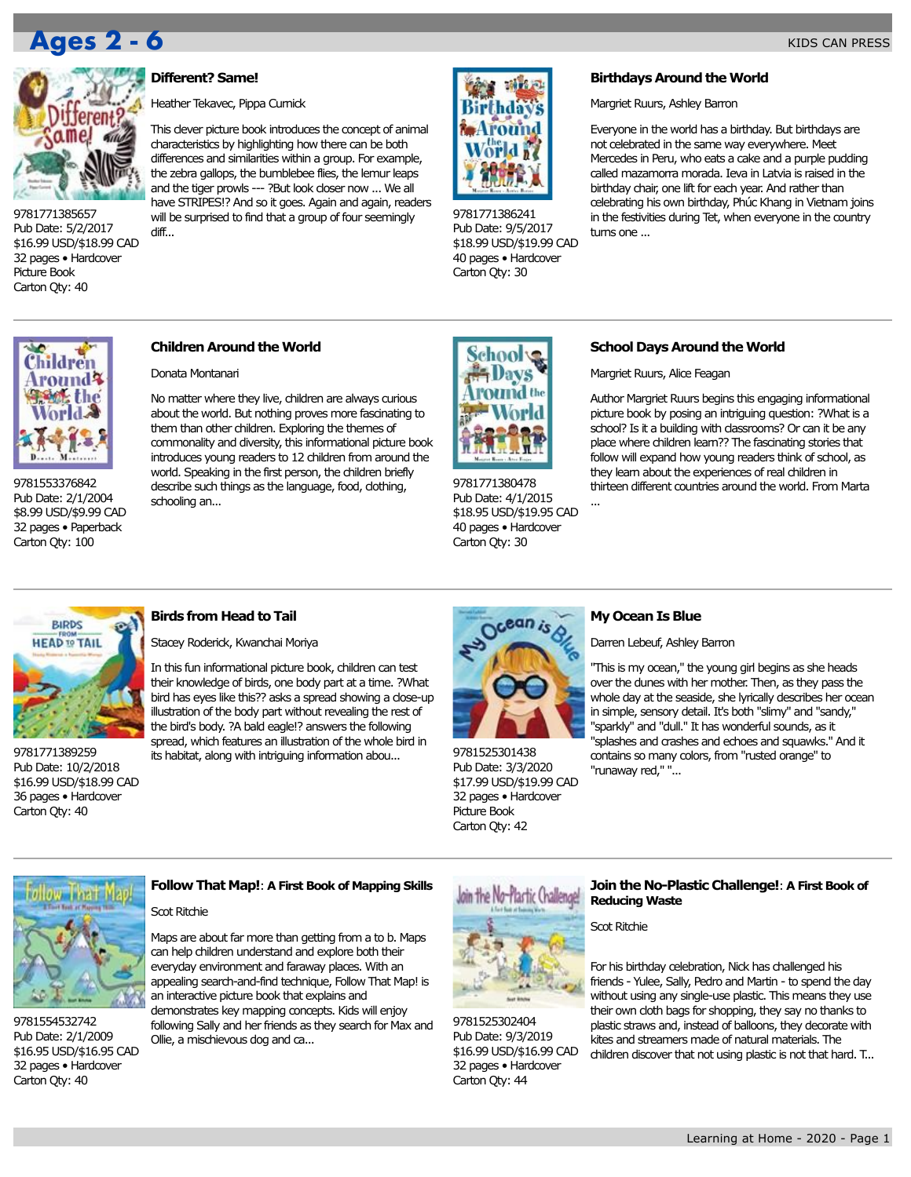

9781771385657 Pub Date: 5/2/2017 \$16.99 USD/\$18.99 CAD 32 pages • Hardcover Picture Book Carton Qty: 40

# **Different? Same!**

Heather Tekavec, Pippa Curnick

This clever picture book introduces the concept of animal characteristics by highlighting how there can be both differences and similarities within a group. For example, the zebra gallops, the bumblebee flies, the lemur leaps and the tiger prowls --- ?But look closer now ... We all have STRIPES!? And so it goes. Again and again, readers will be surprised to find that a group of four seemingly diff...



9781771386241 Pub Date: 9/5/2017 \$18.99 USD/\$19.99 CAD 40 pages • Hardcover Carton Qty: 30

# **Birthdays Around the World**

Margriet Ruurs, Ashley Barron

Everyone in the world has a birthday. But birthdays are not celebrated in the same way everywhere. Meet Mercedes in Peru, who eats a cake and a purple pudding called mazamorra morada. Ieva in Latvia is raised in the birthday chair, one lift for each year. And rather than celebrating his own birthday, Phúc Khang in Vietnam joins in the festivities during Tet, when everyone in the country turns one ...



9781553376842 Pub Date: 2/1/2004 \$8.99 USD/\$9.99 CAD 32 pages • Paperback Carton Qty: 100

# **Children Around the World**

Donata Montanari

No matter where they live, children are always curious about the world. But nothing proves more fascinating to them than other children. Exploring the themes of commonality and diversity, this informational picture book introduces young readers to 12 children from around the world. Speaking in the first person, the children briefly describe such things as the language, food, clothing, schooling an... Learning at Home - 2020 - Page 1 **Ages 2 - 6 Ages 3 - 7**



9781771380478 Pub Date: 4/1/2015 \$18.95 USD/\$19.95 CAD 40 pages • Hardcover Carton Qty: 30

# **School Days Around the World**

Margriet Ruurs, Alice Feagan

Author Margriet Ruurs begins this engaging informational picture book by posing an intriguing question: ?What is a school? Is it a building with classrooms? Or can it be any place where children learn?? The fascinating stories that follow will expand how young readers think of school, as they learn about the experiences of real children in thirteen different countries around the world. From Marta



9781771389259 Pub Date: 10/2/2018 \$16.99 USD/\$18.99 CAD 36 pages • Hardcover Carton Qty: 40

# **Birds from Head to Tail**

Stacey Roderick, Kwanchai Moriya

In this fun informational picture book, children can test their knowledge of birds, one body part at a time. ?What bird has eyes like this?? asks a spread showing a close-up illustration of the body part without revealing the rest of the bird's body. ?A bald eagle!? answers the following spread, which features an illustration of the whole bird in its habitat, along with intriguing information abou...



9781525301438 Pub Date: 3/3/2020 \$17.99 USD/\$19.99 CAD 32 pages • Hardcover Picture Book Carton Qty: 42

# **My Ocean Is Blue**

...

Darren Lebeuf, Ashley Barron

"This is my ocean," the young girl begins as she heads over the dunes with her mother. Then, as they pass the whole day at the seaside, she lyrically describes her ocean in simple, sensory detail. It's both "slimy" and "sandy," "sparkly" and "dull." It has wonderful sounds, as it "splashes and crashes and echoes and squawks." And it contains so many colors, from "rusted orange" to "runaway red," "...



9781554532742 Pub Date: 2/1/2009 \$16.95 USD/\$16.95 CAD 32 pages • Hardcover Carton Qty: 40

# **Follow That Map!**: **A First Book of Mapping Skills**

# Scot Ritchie

Maps are about far more than getting from a to b. Maps can help children understand and explore both their everyday environment and faraway places. With an appealing search-and-find technique, Follow That Map! is an interactive picture book that explains and demonstrates key mapping concepts. Kids will enjoy

following Sally and her friends as they search for Max and Ollie, a mischievous dog and ca...



9781525302404 Pub Date: 9/3/2019 \$16.99 USD/\$16.99 CAD 32 pages • Hardcover Carton Qty: 44

# **Join the No-Plastic Challenge!**: **A First Book of Reducing Waste**

Scot Ritchie

For his birthday celebration, Nick has challenged his friends - Yulee, Sally, Pedro and Martin - to spend the day without using any single-use plastic. This means they use their own cloth bags for shopping, they say no thanks to plastic straws and, instead of balloons, they decorate with kites and streamers made of natural materials. The children discover that not using plastic is not that hard. T...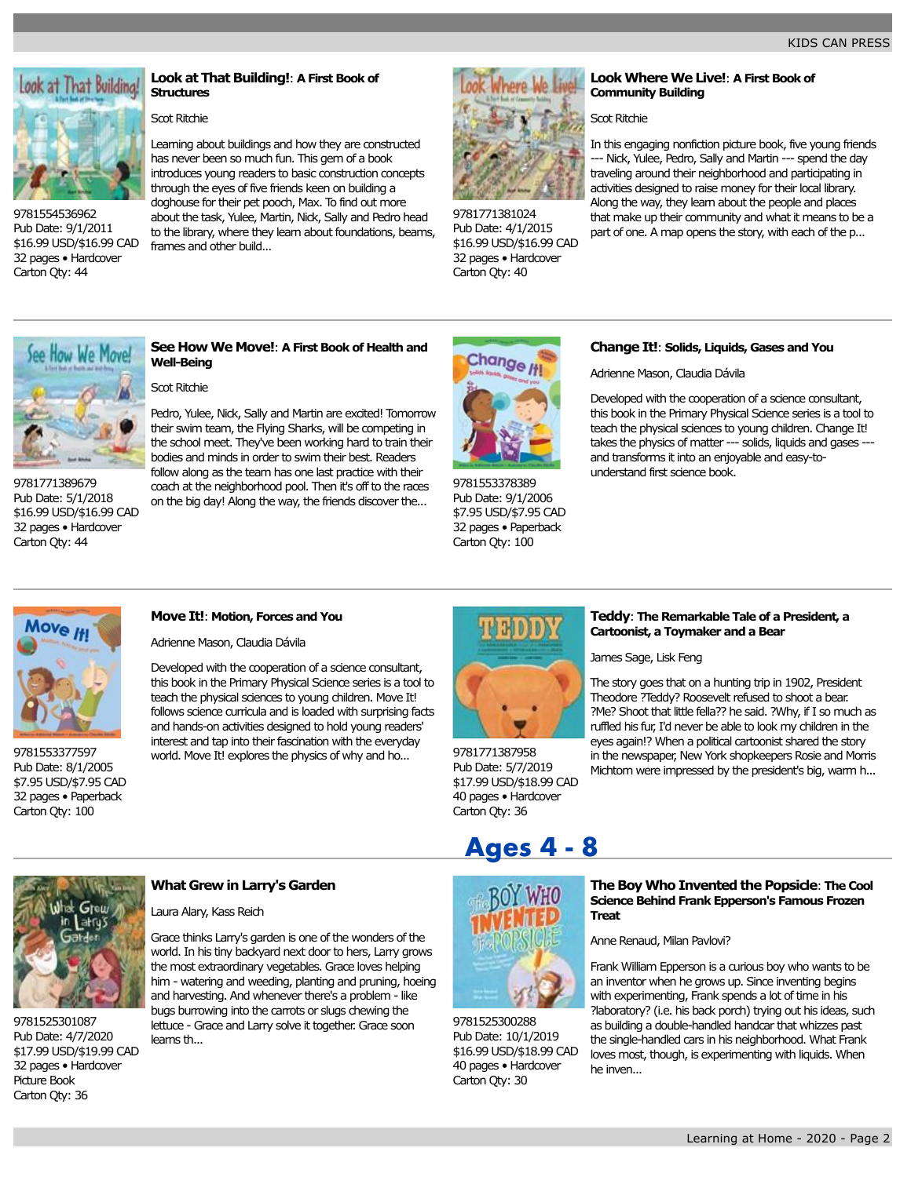

9781554536962 Pub Date: 9/1/2011 \$16.99 USD/\$16.99 CAD 32 pages • Hardcover Carton Qty: 44

# **Look at That Building!**: **A First Book of Structures**

# Scot Ritchie

frames and other build...

Learning about buildings and how they are constructed has never been so much fun. This gem of a book introduces young readers to basic construction concepts through the eyes of five friends keen on building a doghouse for their pet pooch, Max. To find out more about the task, Yulee, Martin, Nick, Sally and Pedro head to the library, where they learn about foundations, beams,



9781771381024 Pub Date: 4/1/2015 \$16.99 USD/\$16.99 CAD 32 pages • Hardcover Carton Qty: 40

**Look Where We Live!**: **A First Book of Community Building**

# Scot Ritchie

In this engaging nonfiction picture book, five young friends --- Nick, Yulee, Pedro, Sally and Martin --- spend the day traveling around their neighborhood and participating in activities designed to raise money for their local library. Along the way, they learn about the people and places that make up their community and what it means to be a part of one. A map opens the story, with each of the p...



9781771389679 Pub Date: 5/1/2018 \$16.99 USD/\$16.99 CAD 32 pages • Hardcover Carton Qty: 44

# **See How We Move!**: **A First Book of Health and Well-Being**

# Scot Ritchie

Pedro, Yulee, Nick, Sally and Martin are excited! Tomorrow their swim team, the Flying Sharks, will be competing in the school meet. They've been working hard to train their bodies and minds in order to swim their best. Readers follow along as the team has one last practice with their coach at the neighborhood pool. Then it's off to the races on the big day! Along the way, the friends discover the...



9781553378389 Pub Date: 9/1/2006 \$7.95 USD/\$7.95 CAD 32 pages • Paperback Carton Qty: 100

# **Change It!**: **Solids, Liquids, Gases and You**

Adrienne Mason, Claudia Dávila

Developed with the cooperation of a science consultant, this book in the Primary Physical Science series is a tool to teach the physical sciences to young children. Change It! takes the physics of matter --- solids, liquids and gases -- and transforms it into an enjoyable and easy-tounderstand first science book.



9781553377597 Pub Date: 8/1/2005 \$7.95 USD/\$7.95 CAD 32 pages • Paperback Carton Qty: 100

# **Move It!**: **Motion, Forces and You**

Adrienne Mason, Claudia Dávila

Developed with the cooperation of a science consultant, this book in the Primary Physical Science series is a tool to teach the physical sciences to young children. Move It! follows science curricula and is loaded with surprising facts and hands-on activities designed to hold young readers' interest and tap into their fascination with the everyday world. Move It! explores the physics of why and ho...



9781771387958 Pub Date: 5/7/2019 \$17.99 USD/\$18.99 CAD 40 pages • Hardcover Carton Qty: 36

# **Teddy**: **The Remarkable Tale of a President, a Cartoonist, a Toymaker and a Bear**

James Sage, Lisk Feng

The story goes that on a hunting trip in 1902, President Theodore ?Teddy? Roosevelt refused to shoot a bear. ?Me? Shoot that little fella?? he said. ?Why, if I so much as ruffled his fur, I'd never be able to look my children in the eyes again!? When a political cartoonist shared the story in the newspaper, New York shopkeepers Rosie and Morris Michtom were impressed by the president's big, warm h...

Greu

9781525301087 Pub Date: 4/7/2020 \$17.99 USD/\$19.99 CAD 32 pages • Hardcover Picture Book Carton Qty: 36

# **What Grew in Larry's Garden**

# Laura Alary, Kass Reich

Grace thinks Larry's garden is one of the wonders of the world. In his tiny backyard next door to hers, Larry grows the most extraordinary vegetables. Grace loves helping him - watering and weeding, planting and pruning, hoeing and harvesting. And whenever there's a problem - like bugs burrowing into the carrots or slugs chewing the lettuce - Grace and Larry solve it together. Grace soon learns th...



9781525300288 Pub Date: 10/1/2019 \$16.99 USD/\$18.99 CAD 40 pages • Hardcover Carton Qty: 30

# **The Boy Who Invented the Popsicle**: **The Cool Science Behind Frank Epperson's Famous Frozen Treat**

Anne Renaud, Milan Pavlovi?

Frank William Epperson is a curious boy who wants to be an inventor when he grows up. Since inventing begins with experimenting, Frank spends a lot of time in his ?laboratory? (i.e. his back porch) trying out his ideas, such as building a double-handled handcar that whizzes past the single-handled cars in his neighborhood. What Frank loves most, though, is experimenting with liquids. When he inven... **Ages 4 - 8**<br>
The Boy Who Invented the Popsicle: The Cool<br>
science Behind Frank Epperson's Famous Frozen<br>
Treat<br>
Anne Renaud, Milan Pavlovi?<br>
Frank William Epperson is a curious boy who wants to be<br>
an inventor when he gro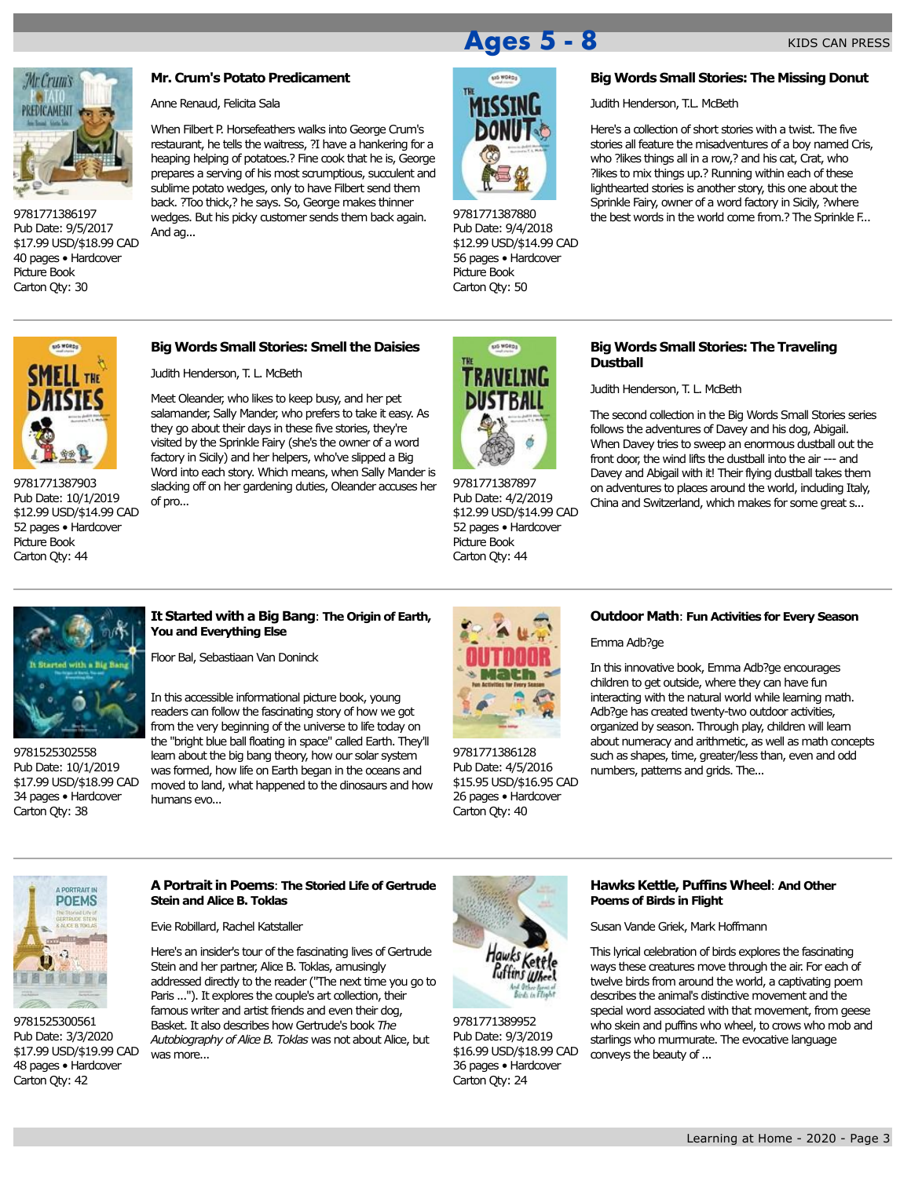

9781771386197 Pub Date: 9/5/2017 \$17.99 USD/\$18.99 CAD 40 pages • Hardcover Picture Book Carton Qty: 30

# **Mr. Crum's Potato Predicament**

Anne Renaud, Felicita Sala

When Filbert P. Horsefeathers walks into George Crum's restaurant, he tells the waitress, ?I have a hankering for a heaping helping of potatoes.? Fine cook that he is, George prepares a serving of his most scrumptious, succulent and sublime potato wedges, only to have Filbert send them back. ?Too thick,? he says. So, George makes thinner wedges. But his picky customer sends them back again. And ag...

9781771387880 Pub Date: 9/4/2018 \$12.99 USD/\$14.99 CAD 56 pages • Hardcover Picture Book Carton Qty: 50

KIDS CAN PRESS

**Big Words Small Stories: The Missing Donut**

Judith Henderson, T.L. McBeth

Here's a collection of short stories with a twist. The five stories all feature the misadventures of a boy named Cris, who ?likes things all in a row,? and his cat, Crat, who ?likes to mix things up.? Running within each of these lighthearted stories is another story, this one about the Sprinkle Fairy, owner of a word factory in Sicily, ?where the best words in the world come from.? The Sprinkle F...



9781771387903 Pub Date: 10/1/2019 \$12.99 USD/\$14.99 CAD 52 pages • Hardcover Picture Book Carton Qty: 44

# **Big Words Small Stories: Smell the Daisies**

Judith Henderson, T. L. McBeth

Meet Oleander, who likes to keep busy, and her pet salamander, Sally Mander, who prefers to take it easy. As they go about their days in these five stories, they're visited by the Sprinkle Fairy (she's the owner of a word factory in Sicily) and her helpers, who've slipped a Big Word into each story. Which means, when Sally Mander is slacking off on her gardening duties, Oleander accuses her of pro...



9781771387897 Pub Date: 4/2/2019 \$12.99 USD/\$14.99 CAD 52 pages • Hardcover Picture Book Carton Qty: 44

# **Big Words Small Stories: The Traveling Dustball**

Judith Henderson, T. L. McBeth

The second collection in the Big Words Small Stories series follows the adventures of Davey and his dog, Abigail. When Davey tries to sweep an enormous dustball out the front door, the wind lifts the dustball into the air --- and Davey and Abigail with it! Their flying dustball takes them on adventures to places around the world, including Italy, China and Switzerland, which makes for some great s...



9781525302558 Pub Date: 10/1/2019 \$17.99 USD/\$18.99 CAD 34 pages • Hardcover Carton Qty: 38

# **It Started with a Big Bang**: **The Origin of Earth, You and Everything Else**

Floor Bal, Sebastiaan Van Doninck

In this accessible informational picture book, young readers can follow the fascinating story of how we got from the very beginning of the universe to life today on the "bright blue ball floating in space" called Earth. They'll learn about the big bang theory, how our solar system was formed, how life on Earth began in the oceans and moved to land, what happened to the dinosaurs and how humans evo...



9781771386128 Pub Date: 4/5/2016 \$15.95 USD/\$16.95 CAD 26 pages • Hardcover Carton Qty: 40

# **Outdoor Math**: **Fun Activities for Every Season**

Emma Adb?ge

In this innovative book, Emma Adb?ge encourages children to get outside, where they can have fun interacting with the natural world while learning math. Adb?ge has created twenty-two outdoor activities, organized by season. Through play, children will learn about numeracy and arithmetic, as well as math concepts such as shapes, time, greater/less than, even and odd numbers, patterns and grids. The...



9781525300561 Pub Date: 3/3/2020 \$17.99 USD/\$19.99 CAD 48 pages • Hardcover Carton Qty: 42

# **A Portrait in Poems**: **The Storied Life of Gertrude Stein and Alice B. Toklas**

Evie Robillard, Rachel Katstaller

Here's an insider's tour of the fascinating lives of Gertrude Stein and her partner, Alice B. Toklas, amusingly addressed directly to the reader ("The next time you go to Paris ..."). It explores the couple's art collection, their famous writer and artist friends and even their dog, Basket. It also describes how Gertrude's book *The Autobiography of Alice B. Toklas* was not about Alice, but was more...



9781771389952 Pub Date: 9/3/2019 \$16.99 USD/\$18.99 CAD 36 pages • Hardcover Carton Qty: 24

# **Hawks Kettle, Puffins Wheel**: **And Other Poems of Birds in Flight**

Susan Vande Griek, Mark Hoffmann

This lyrical celebration of birds explores the fascinating ways these creatures move through the air. For each of twelve birds from around the world, a captivating poem describes the animal's distinctive movement and the special word associated with that movement, from geese who skein and puffins who wheel, to crows who mob and starlings who murmurate. The evocative language conveys the beauty of ... KIDS CAN PRESS<br>
Home Control of the Missing Donda<br>
Home - 2020 - Page 3<br>
MOSSING - More and State of the Missing Donda<br>
MOSSING - More and State of the Missing Donda<br>
MOSSING - More and State of the Missing Donda<br>
MOSSING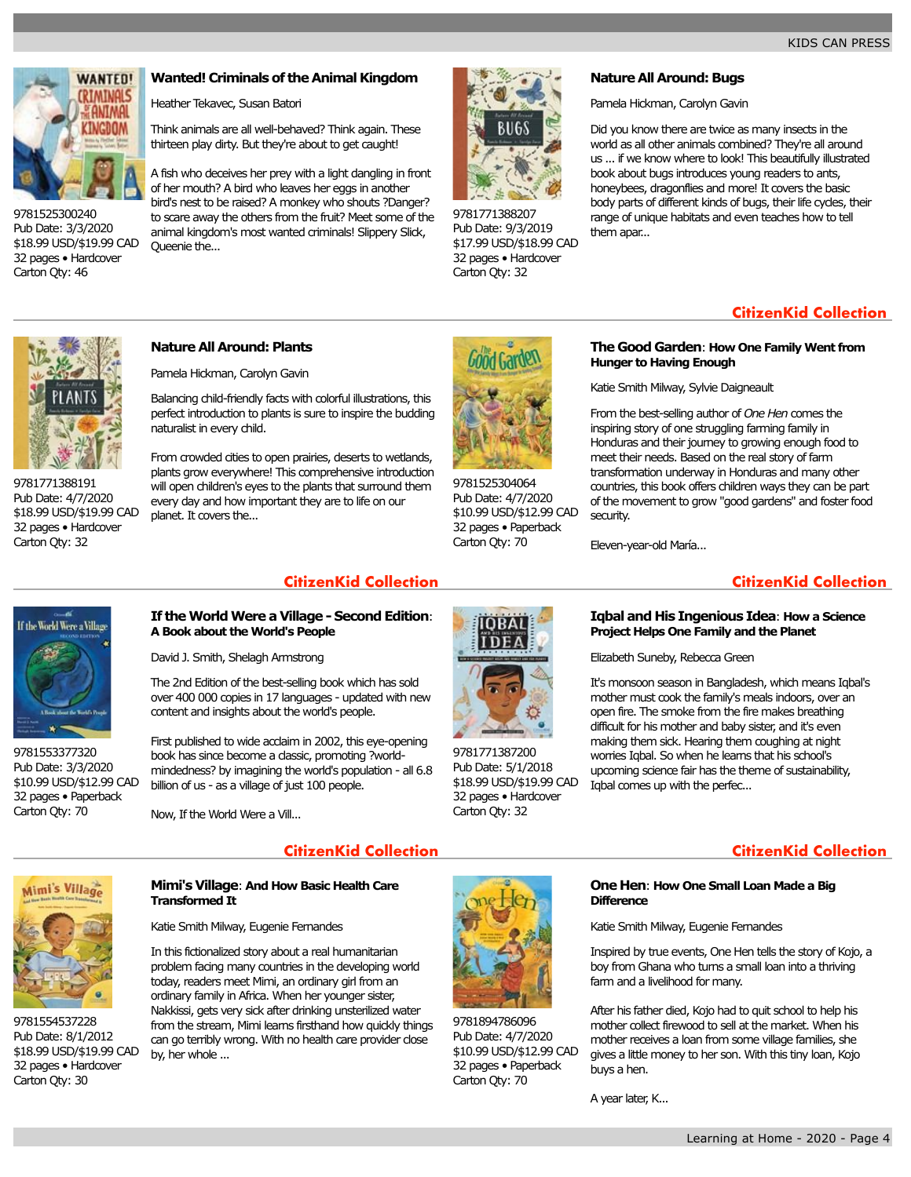

9781525300240 Pub Date: 3/3/2020 \$18.99 USD/\$19.99 CAD 32 pages • Hardcover Carton Qty: 46

# **Wanted! Criminals of the Animal Kingdom**

Heather Tekavec, Susan Batori

Think animals are all well-behaved? Think again. These thirteen play dirty. But they're about to get caught!

A fish who deceives her prey with a light dangling in front of her mouth? A bird who leaves her eggs in another bird's nest to be raised? A monkey who shouts ?Danger? to scare away the others from the fruit? Meet some of the animal kingdom's most wanted criminals! Slippery Slick, Queenie the...



9781771388207 Pub Date: 9/3/2019 \$17.99 USD/\$18.99 CAD 32 pages • Hardcover Carton Qty: 32

# **Nature All Around: Bugs**

Pamela Hickman, Carolyn Gavin

Did you know there are twice as many insects in the world as all other animals combined? They're all around us ... if we know where to look! This beautifully illustrated book about bugs introduces young readers to ants, honeybees, dragonflies and more! It covers the basic body parts of different kinds of bugs, their life cycles, their range of unique habitats and even teaches how to tell them apar...

# **CitizenKid Collection**

9781771388191 Pub Date: 4/7/2020 \$18.99 USD/\$19.99 CAD 32 pages • Hardcover Carton Qty: 32

# **Nature All Around: Plants**

Pamela Hickman, Carolyn Gavin

Balancing child-friendly facts with colorful illustrations, this perfect introduction to plants is sure to inspire the budding naturalist in every child.

From crowded cities to open prairies, deserts to wetlands, plants grow everywhere! This comprehensive introduction will open children's eyes to the plants that surround them every day and how important they are to life on our planet. It covers the...



9781525304064 Pub Date: 4/7/2020 \$10.99 USD/\$12.99 CAD 32 pages • Paperback Carton Qty: 70

# **The Good Garden**: **How One Family Went from Hunger to Having Enough**

Katie Smith Milway, Sylvie Daigneault

From the best-selling author of *One Hen* comes the inspiring story of one struggling farming family in Honduras and their journey to growing enough food to meet their needs. Based on the real story of farm transformation underway in Honduras and many other countries, this book offers children ways they can be part of the movement to grow "good gardens" and foster food security.

Eleven-year-old María...

# **CitizenKid Collection CitizenKid Collection**

# If the World Were a Village

# 9781553377320 Pub Date: 3/3/2020 \$10.99 USD/\$12.99 CAD 32 pages • Paperback Carton Qty: 70

# **If the World Were a Village - Second Edition**: **A Book about the World's People**

David J. Smith, Shelagh Armstrong

The 2nd Edition of the best-selling book which has sold over 400 000 copies in 17 languages - updated with new content and insights about the world's people.

First published to wide acclaim in 2002, this eye-opening book has since become a classic, promoting ?worldmindedness? by imagining the world's population - all 6.8 billion of us - as a village of just 100 people.

Now, If the World Were a Vill...

by, her whole ...

**Transformed It**

Katie Smith Milway, Eugenie Fernandes

In this fictionalized story about a real humanitarian problem facing many countries in the developing world today, readers meet Mimi, an ordinary girl from an ordinary family in Africa. When her younger sister, Nakkissi, gets very sick after drinking unsterilized water from the stream, Mimi learns firsthand how quickly things can go terribly wrong. With no health care provider close

**Mimi's Village**: **And How Basic Health Care**



9781554537228 Pub Date: 8/1/2012 \$18.99 USD/\$19.99 CAD 32 pages • Hardcover Carton Qty: 30

9781894786096 Pub Date: 4/7/2020 \$10.99 USD/\$12.99 CAD 32 pages • Paperback Carton Qty: 70



9781771387200 Pub Date: 5/1/2018 \$18.99 USD/\$19.99 CAD 32 pages • Hardcover

# **Iqbal and His Ingenious Idea**: **How a Science Project Helps One Family and the Planet**

Elizabeth Suneby, Rebecca Green

It's monsoon season in Bangladesh, which means Iqbal's mother must cook the family's meals indoors, over an open fire. The smoke from the fire makes breathing difficult for his mother and baby sister, and it's even making them sick. Hearing them coughing at night worries Iqbal. So when he learns that his school's upcoming science fair has the theme of sustainability, Iqbal comes up with the perfec...

# **CitizenKid Collection CitizenKid Collection**

# **One Hen**: **How One Small Loan Made a Big Difference**

Katie Smith Milway, Eugenie Fernandes

Inspired by true events, One Hen tells the story of Kojo, a boy from Ghana who turns a small loan into a thriving farm and a livelihood for many.

After his father died, Kojo had to quit school to help his mother collect firewood to sell at the market. When his mother receives a loan from some village families, she gives a little money to her son. With this tiny loan, Kojo buys a hen.

A year later, K...

# Carton Qty: 32

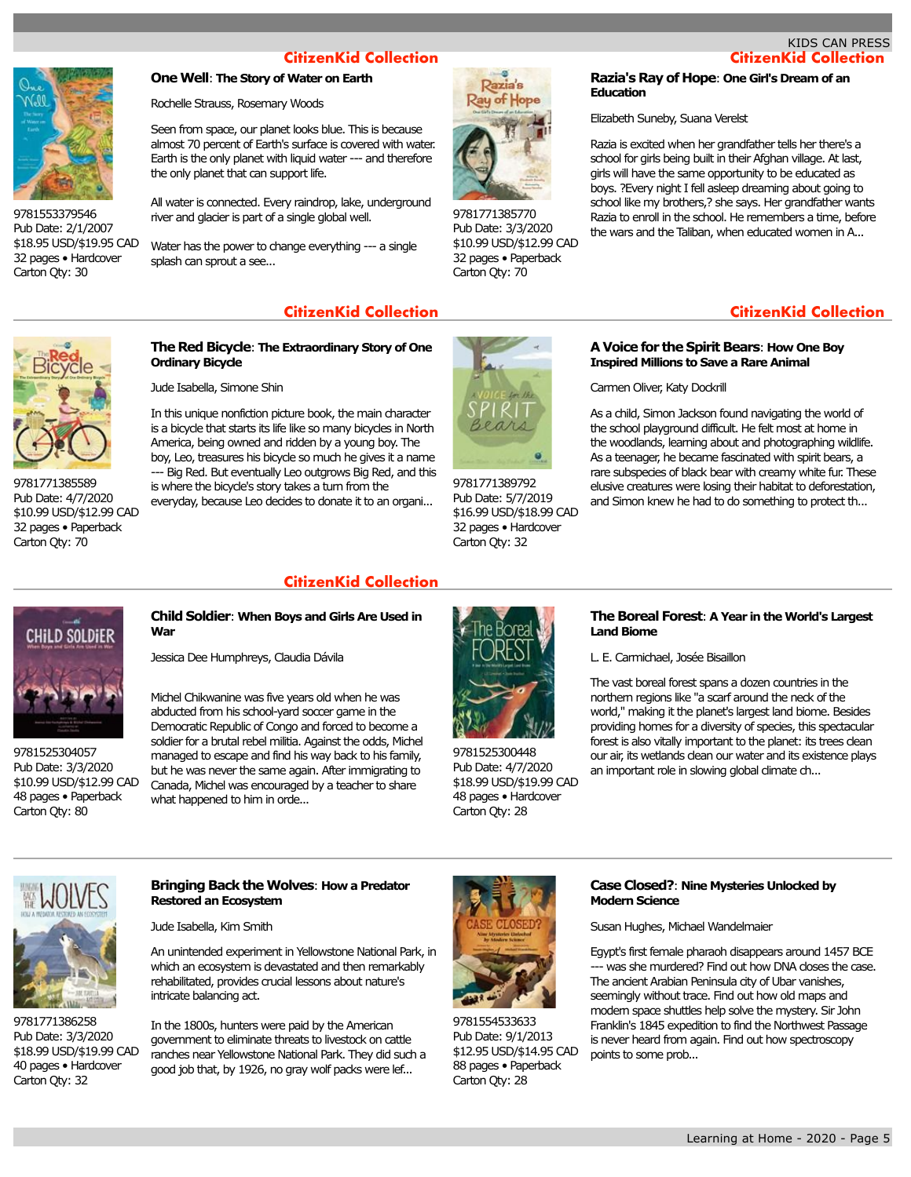# KIDS CAN PRESS



Pub Date: 2/1/2007 \$18.95 USD/\$19.95 CAD 32 pages • Hardcover Carton Qty: 30

# **One Well**: **The Story of Water on Earth**

Rochelle Strauss, Rosemary Woods

Seen from space, our planet looks blue. This is because almost 70 percent of Earth's surface is covered with water. Earth is the only planet with liquid water --- and therefore the only planet that can support life.

All water is connected. Every raindrop, lake, underground river and glacier is part of a single global well.

Water has the power to change everything --- a single splash can sprout a see...



9781771385770 Pub Date: 3/3/2020 \$10.99 USD/\$12.99 CAD 32 pages • Paperback Carton Qty: 70

# **Razia's Ray of Hope**: **One Girl's Dream of an Education**

Elizabeth Suneby, Suana Verelst

Razia is excited when her grandfather tells her there's a school for girls being built in their Afghan village. At last, girls will have the same opportunity to be educated as boys. ?Every night I fell asleep dreaming about going to school like my brothers,? she says. Her grandfather wants Razia to enroll in the school. He remembers a time, before the wars and the Taliban, when educated women in A...

9781771385589 Pub Date: 4/7/2020 \$10.99 USD/\$12.99 CAD 32 pages • Paperback Carton Qty: 70

# **The Red Bicycle**: **The Extraordinary Story of One Ordinary Bicycle**

Jude Isabella, Simone Shin

In this unique nonfiction picture book, the main character is a bicycle that starts its life like so many bicycles in North America, being owned and ridden by a young boy. The boy, Leo, treasures his bicycle so much he gives it a name - Big Red. But eventually Leo outgrows Big Red, and this is where the bicycle's story takes a turn from the

everyday, because Leo decides to donate it to an organi...



9781771389792 Pub Date: 5/7/2019 \$16.99 USD/\$18.99 CAD 32 pages • Hardcover Carton Qty: 32

# **A Voice for the Spirit Bears**: **How One Boy Inspired Millions to Save a Rare Animal**

Carmen Oliver, Katy Dockrill

As a child, Simon Jackson found navigating the world of the school playground difficult. He felt most at home in the woodlands, learning about and photographing wildlife. As a teenager, he became fascinated with spirit bears, a rare subspecies of black bear with creamy white fur. These elusive creatures were losing their habitat to deforestation, and Simon knew he had to do something to protect th... Citizen Kid Collection<br>
Vita contest which with the state of the state of the state of the collection<br>
The state of the collection<br>
State of the state of the state of the state of the state of the state of the state of the



9781525304057 Pub Date: 3/3/2020 \$10.99 USD/\$12.99 CAD 48 pages • Paperback Carton Qty: 80

**Child Soldier**: **When Boys and Girls Are Used in War**

Jessica Dee Humphreys, Claudia Dávila





9781525300448 Pub Date: 4/7/2020 \$18.99 USD/\$19.99 CAD 48 pages • Hardcover Carton Qty: 28

# **The Boreal Forest**: **A Year in the World's Largest Land Biome**

L. E. Carmichael, Josée Bisaillon

The vast boreal forest spans a dozen countries in the northern regions like "a scarf around the neck of the world," making it the planet's largest land biome. Besides providing homes for a diversity of species, this spectacular forest is also vitally important to the planet: its trees dean our air, its wetlands clean our water and its existence plays an important role in slowing global dimate ch...





9781771386258 Pub Date: 3/3/2020 \$18.99 USD/\$19.99 CAD 40 pages • Hardcover Carton Qty: 32

# **Bringing Back the Wolves**: **How a Predator Restored an Ecosystem**

Jude Isabella, Kim Smith

An unintended experiment in Yellowstone National Park, in which an ecosystem is devastated and then remarkably rehabilitated, provides crucial lessons about nature's intricate balancing act.

In the 1800s, hunters were paid by the American government to eliminate threats to livestock on cattle ranches near Yellowstone National Park. They did such a good job that, by 1926, no gray wolf packs were lef...



9781554533633 Pub Date: 9/1/2013 \$12.95 USD/\$14.95 CAD 88 pages • Paperback Carton Qty: 28

# **Case Closed?**: **Nine Mysteries Unlocked by Modern Science**

Susan Hughes, Michael Wandelmaier

Egypt's first female pharaoh disappears around 1457 BCE --- was she murdered? Find out how DNA closes the case. The ancient Arabian Peninsula city of Ubar vanishes, seemingly without trace. Find out how old maps and modern space shuttles help solve the mystery. Sir John Franklin's 1845 expedition to find the Northwest Passage is never heard from again. Find out how spectroscopy points to some prob...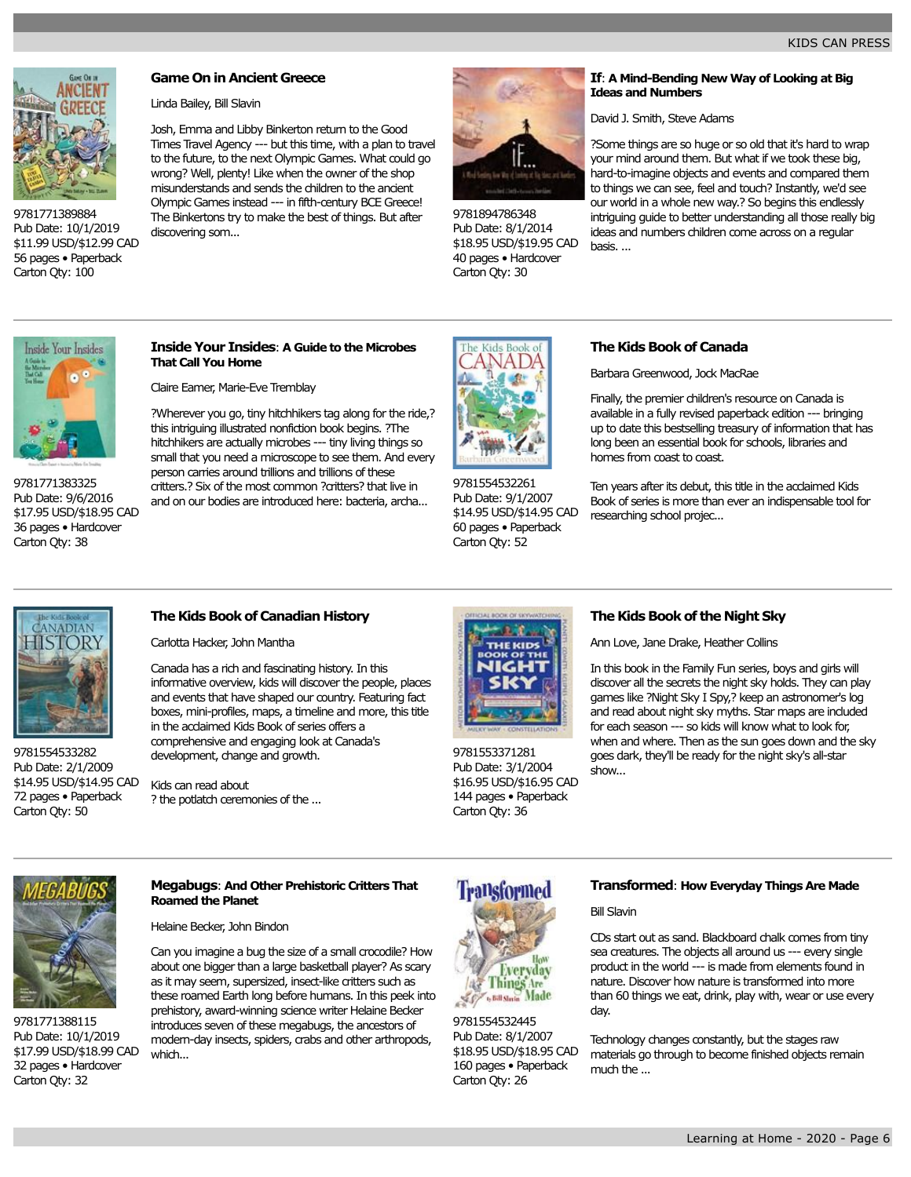

Pub Date: 10/1/2019 \$11.99 USD/\$12.99 CAD 56 pages • Paperback Carton Qty: 100

**Game On in Ancient Greece**

Linda Bailey, Bill Slavin

Josh, Emma and Libby Binkerton return to the Good Times Travel Agency --- but this time, with a plan to travel to the future, to the next Olympic Games. What could go wrong? Well, plenty! Like when the owner of the shop misunderstands and sends the children to the ancient Olympic Games instead --- in fifth-century BCE Greece! The Binkertons try to make the best of things. But after discovering som...



9781894786348 Pub Date: 8/1/2014 \$18.95 USD/\$19.95 CAD 40 pages • Hardcover Carton Qty: 30

# **If**: **A Mind-Bending New Way of Looking at Big Ideas and Numbers**

David J. Smith, Steve Adams

?Some things are so huge or so old that it's hard to wrap your mind around them. But what if we took these big, hard-to-imagine objects and events and compared them to things we can see, feel and touch? Instantly, we'd see our world in a whole new way.? So begins this endlessly intriguing guide to better understanding all those really big ideas and numbers children come across on a regular basis. ...



9781771383325 Pub Date: 9/6/2016 \$17.95 USD/\$18.95 CAD 36 pages • Hardcover Carton Qty: 38

# **Inside Your Insides**: **A Guide to the Microbes That Call You Home**

Claire Eamer, Marie-Eve Tremblay

?Wherever you go, tiny hitchhikers tag along for the ride,? this intriguing illustrated nonfiction book begins. ?The hitchhikers are actually microbes --- tiny living things so small that you need a microscope to see them. And every person carries around trillions and trillions of these critters.? Six of the most common ?critters? that live in and on our bodies are introduced here: bacteria, archa...



9781554532261 Pub Date: 9/1/2007 \$14.95 USD/\$14.95 CAD 60 pages • Paperback Carton Qty: 52

# **The Kids Book of Canada**

Barbara Greenwood, Jock MacRae

Finally, the premier children's resource on Canada is available in a fully revised paperback edition --- bringing up to date this bestselling treasury of information that has long been an essential book for schools, libraries and homes from coast to coast.

Ten years after its debut, this title in the acclaimed Kids Book of series is more than ever an indispensable tool for researching school projec...



9781554533282 Pub Date: 2/1/2009 \$14.95 USD/\$14.95 CAD 72 pages • Paperback Carton Qty: 50

# **The Kids Book of Canadian History**

Carlotta Hacker, John Mantha

Canada has a rich and fascinating history. In this informative overview, kids will discover the people, places and events that have shaped our country. Featuring fact boxes, mini-profiles, maps, a timeline and more, this title in the acclaimed Kids Book of series offers a comprehensive and engaging look at Canada's development, change and growth.

Kids can read about ? the potlatch ceremonies of the ...



9781553371281 Pub Date: 3/1/2004 \$16.95 USD/\$16.95 CAD 144 pages • Paperback Carton Qty: 36

# **The Kids Book of the Night Sky**

Ann Love, Jane Drake, Heather Collins

In this book in the Family Fun series, boys and girls will discover all the secrets the night sky holds. They can play games like ?Night Sky I Spy,? keep an astronomer's log and read about night sky myths. Star maps are induded for each season --- so kids will know what to look for, when and where. Then as the sun goes down and the sky goes dark, they'll be ready for the night sky's all-star show...



9781771388115 Pub Date: 10/1/2019 \$17.99 USD/\$18.99 CAD 32 pages • Hardcover Carton Qty: 32

# **Megabugs**: **And Other Prehistoric Critters That Roamed the Planet**

Helaine Becker, John Bindon

Can you imagine a bug the size of a small crocodile? How about one bigger than a large basketball player? As scary as it may seem, supersized, insect-like critters such as these roamed Earth long before humans. In this peek into prehistory, award-winning science writer Helaine Becker introduces seven of these megabugs, the ancestors of modern-day insects, spiders, crabs and other arthropods, which...

# **Transformed**



9781554532445 Pub Date: 8/1/2007 \$18.95 USD/\$18.95 CAD 160 pages • Paperback Carton Qty: 26

# **Transformed**: **How Everyday Things Are Made**

Bill Slavin

CDs start out as sand. Blackboard chalk comes from tiny sea creatures. The objects all around us --- every single product in the world --- is made from elements found in nature. Discover how nature is transformed into more than 60 things we eat, drink, play with, wear or use every day.

Technology changes constantly, but the stages raw materials go through to become finished objects remain much the ...